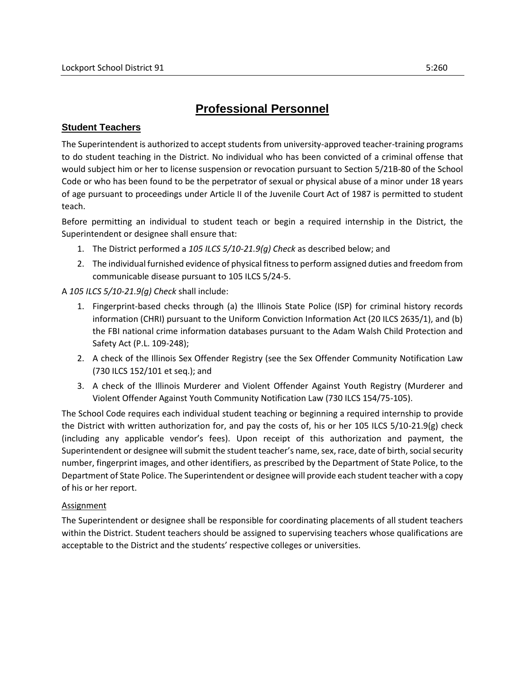## **Professional Personnel**

## **Student Teachers**

The Superintendent is authorized to accept students from university-approved teacher-training programs to do student teaching in the District. No individual who has been convicted of a criminal offense that would subject him or her to license suspension or revocation pursuant to Section 5/21B-80 of the School Code or who has been found to be the perpetrator of sexual or physical abuse of a minor under 18 years of age pursuant to proceedings under Article II of the Juvenile Court Act of 1987 is permitted to student teach.

Before permitting an individual to student teach or begin a required internship in the District, the Superintendent or designee shall ensure that:

- 1. The District performed a *105 ILCS 5/10-21.9(g) Check* as described below; and
- 2. The individual furnished evidence of physical fitness to perform assigned duties and freedom from communicable disease pursuant to 105 ILCS 5/24-5.

A *105 ILCS 5/10-21.9(g) Check* shall include:

- 1. Fingerprint-based checks through (a) the Illinois State Police (ISP) for criminal history records information (CHRI) pursuant to the Uniform Conviction Information Act (20 ILCS 2635/1), and (b) the FBI national crime information databases pursuant to the Adam Walsh Child Protection and Safety Act (P.L. 109-248);
- 2. A check of the Illinois Sex Offender Registry (see the Sex Offender Community Notification Law (730 ILCS 152/101 et seq.); and
- 3. A check of the Illinois Murderer and Violent Offender Against Youth Registry (Murderer and Violent Offender Against Youth Community Notification Law (730 ILCS 154/75-105).

The School Code requires each individual student teaching or beginning a required internship to provide the District with written authorization for, and pay the costs of, his or her 105 ILCS 5/10-21.9(g) check (including any applicable vendor's fees). Upon receipt of this authorization and payment, the Superintendent or designee will submit the student teacher's name, sex, race, date of birth, social security number, fingerprint images, and other identifiers, as prescribed by the Department of State Police, to the Department of State Police. The Superintendent or designee will provide each student teacher with a copy of his or her report.

## **Assignment**

The Superintendent or designee shall be responsible for coordinating placements of all student teachers within the District. Student teachers should be assigned to supervising teachers whose qualifications are acceptable to the District and the students' respective colleges or universities.